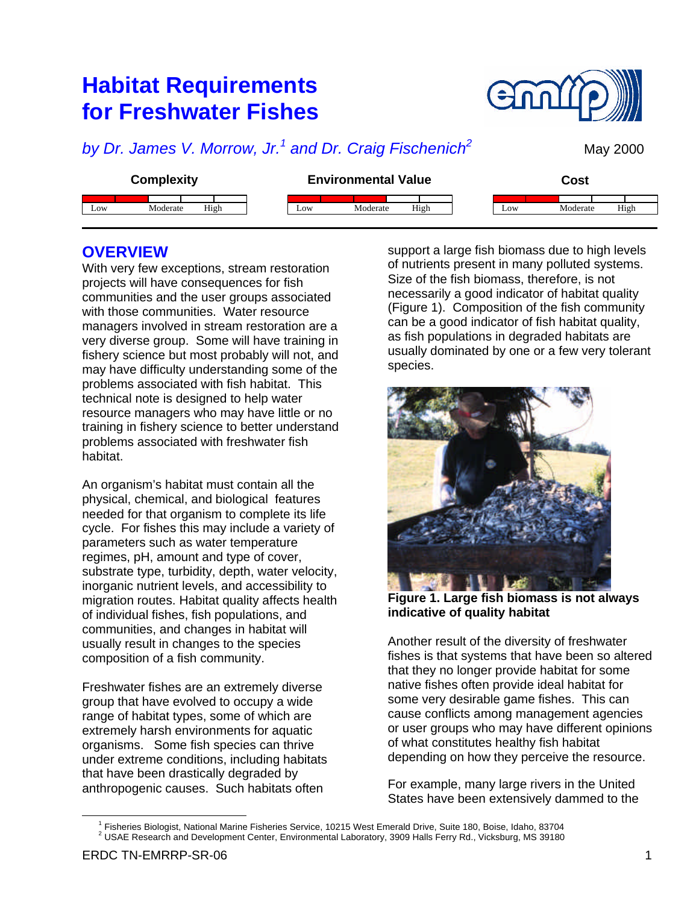# **Habitat Requirements for Freshwater Fishes**



# *by Dr. James V. Morrow, Jr.<sup>1</sup> and Dr. Craig Fischenich<sup>2</sup>*

May 2000

| <b>Complexity</b> |      | <b>Environmental Value</b> |          | Cost |     |          |      |
|-------------------|------|----------------------------|----------|------|-----|----------|------|
| Moderate<br>Low   | High | Low                        | Moderate | High | Low | Moderate | High |

### **OVERVIEW**

With very few exceptions, stream restoration projects will have consequences for fish communities and the user groups associated with those communities. Water resource managers involved in stream restoration are a very diverse group. Some will have training in fishery science but most probably will not, and may have difficulty understanding some of the problems associated with fish habitat. This technical note is designed to help water resource managers who may have little or no training in fishery science to better understand problems associated with freshwater fish habitat.

An organism's habitat must contain all the physical, chemical, and biological features needed for that organism to complete its life cycle. For fishes this may include a variety of parameters such as water temperature regimes, pH, amount and type of cover, substrate type, turbidity, depth, water velocity, inorganic nutrient levels, and accessibility to migration routes. Habitat quality affects health of individual fishes, fish populations, and communities, and changes in habitat will usually result in changes to the species composition of a fish community.

Freshwater fishes are an extremely diverse group that have evolved to occupy a wide range of habitat types, some of which are extremely harsh environments for aquatic organisms. Some fish species can thrive under extreme conditions, including habitats that have been drastically degraded by anthropogenic causes. Such habitats often

support a large fish biomass due to high levels of nutrients present in many polluted systems. Size of the fish biomass, therefore, is not necessarily a good indicator of habitat quality (Figure 1). Composition of the fish community can be a good indicator of fish habitat quality, as fish populations in degraded habitats are usually dominated by one or a few very tolerant species.



**Figure 1. Large fish biomass is not always indicative of quality habitat**

Another result of the diversity of freshwater fishes is that systems that have been so altered that they no longer provide habitat for some native fishes often provide ideal habitat for some very desirable game fishes. This can cause conflicts among management agencies or user groups who may have different opinions of what constitutes healthy fish habitat depending on how they perceive the resource.

For example, many large rivers in the United States have been extensively dammed to the

 $\overline{a}$ 

<sup>1</sup> Fisheries Biologist, National Marine Fisheries Service, 10215 West Emerald Drive, Suite 180, Boise, Idaho, 83704 <sup>2</sup> USAE Research and Development Center, Environmental Laboratory, 3909 Halls Ferry Rd., Vicksburg, MS 39180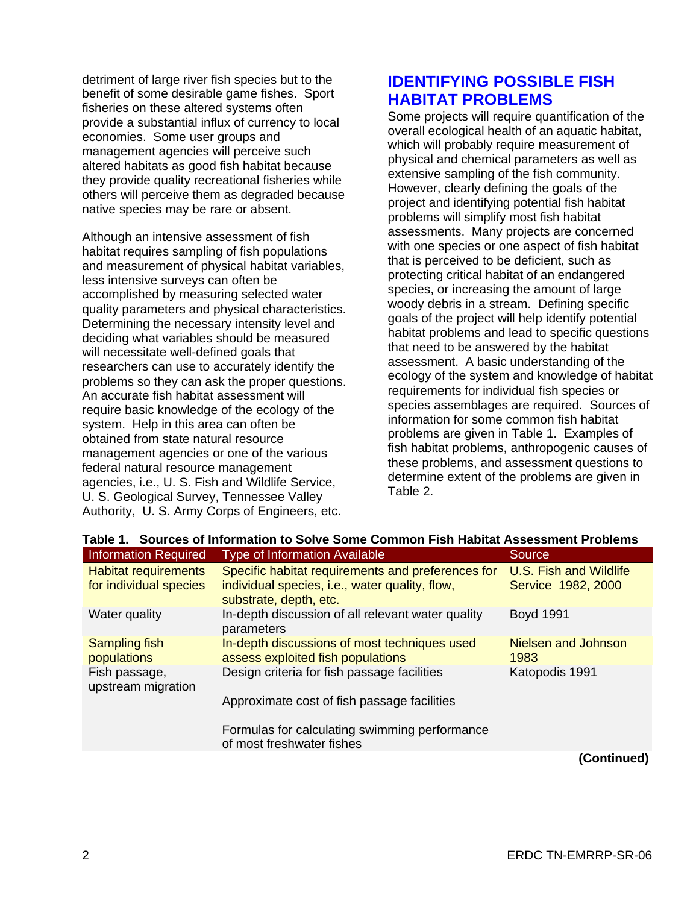detriment of large river fish species but to the benefit of some desirable game fishes. Sport fisheries on these altered systems often provide a substantial influx of currency to local economies. Some user groups and management agencies will perceive such altered habitats as good fish habitat because they provide quality recreational fisheries while others will perceive them as degraded because native species may be rare or absent.

Although an intensive assessment of fish habitat requires sampling of fish populations and measurement of physical habitat variables, less intensive surveys can often be accomplished by measuring selected water quality parameters and physical characteristics. Determining the necessary intensity level and deciding what variables should be measured will necessitate well-defined goals that researchers can use to accurately identify the problems so they can ask the proper questions. An accurate fish habitat assessment will require basic knowledge of the ecology of the system. Help in this area can often be obtained from state natural resource management agencies or one of the various federal natural resource management agencies, i.e., U. S. Fish and Wildlife Service, U. S. Geological Survey, Tennessee Valley Authority, U. S. Army Corps of Engineers, etc.

# **IDENTIFYING POSSIBLE FISH HABITAT PROBLEMS**

Some projects will require quantification of the overall ecological health of an aquatic habitat, which will probably require measurement of physical and chemical parameters as well as extensive sampling of the fish community. However, clearly defining the goals of the project and identifying potential fish habitat problems will simplify most fish habitat assessments. Many projects are concerned with one species or one aspect of fish habitat that is perceived to be deficient, such as protecting critical habitat of an endangered species, or increasing the amount of large woody debris in a stream. Defining specific goals of the project will help identify potential habitat problems and lead to specific questions that need to be answered by the habitat assessment. A basic understanding of the ecology of the system and knowledge of habitat requirements for individual fish species or species assemblages are required. Sources of information for some common fish habitat problems are given in Table 1. Examples of fish habitat problems, anthropogenic causes of these problems, and assessment questions to determine extent of the problems are given in Table 2.

| <b>Information Required</b>         | <b>Type of Information Available</b>                                              | Source                             |
|-------------------------------------|-----------------------------------------------------------------------------------|------------------------------------|
| <b>Habitat requirements</b>         | Specific habitat requirements and preferences for                                 | U.S. Fish and Wildlife             |
| for individual species              | individual species, i.e., water quality, flow,<br>substrate, depth, etc.          | Service 1982, 2000                 |
| Water quality                       | In-depth discussion of all relevant water quality<br>parameters                   | <b>Boyd 1991</b>                   |
| <b>Sampling fish</b><br>populations | In-depth discussions of most techniques used<br>assess exploited fish populations | <b>Nielsen and Johnson</b><br>1983 |
| Fish passage,<br>upstream migration | Design criteria for fish passage facilities                                       | Katopodis 1991                     |
|                                     | Approximate cost of fish passage facilities                                       |                                    |
|                                     | Formulas for calculating swimming performance<br>of most freshwater fishes        |                                    |
|                                     |                                                                                   | $\sim$ $\sim$ $\sim$ $\sim$        |

### **Table 1. Sources of Information to Solve Some Common Fish Habitat Assessment Problems**

 **(Continued)**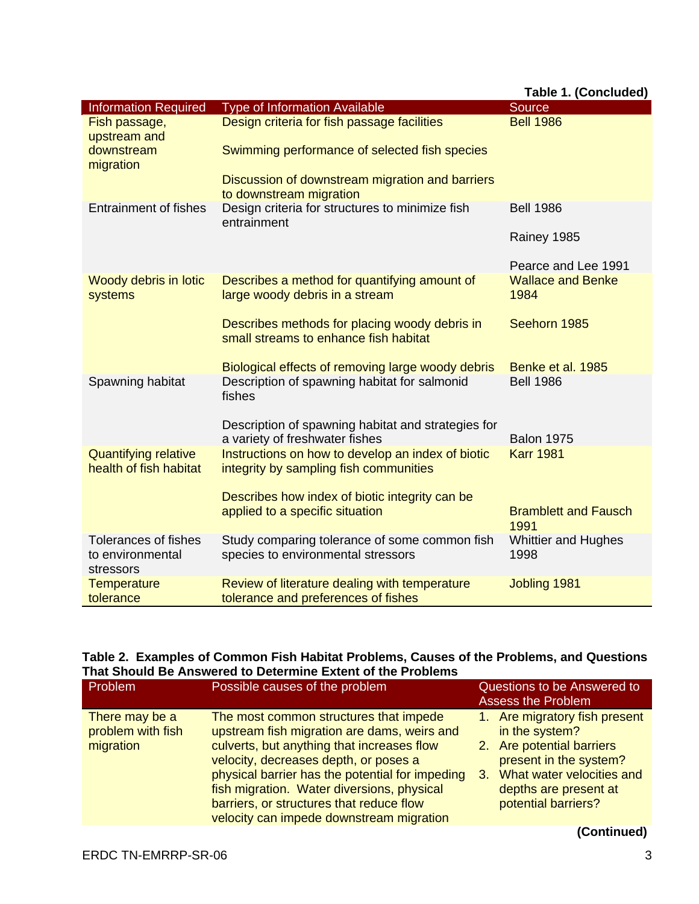| <b>Type of Information Available</b><br><b>Information Required</b><br>Source<br>Design criteria for fish passage facilities<br><b>Bell 1986</b><br>Fish passage,<br>upstream and<br>downstream<br>Swimming performance of selected fish species<br>migration<br>Discussion of downstream migration and barriers<br>to downstream migration<br>Design criteria for structures to minimize fish<br><b>Entrainment of fishes</b><br><b>Bell 1986</b><br>entrainment<br>Rainey 1985<br>Pearce and Lee 1991<br>Describes a method for quantifying amount of<br><b>Wallace and Benke</b><br>Woody debris in lotic<br>large woody debris in a stream<br>1984<br>systems<br>Seehorn 1985<br>Describes methods for placing woody debris in<br>small streams to enhance fish habitat<br>Biological effects of removing large woody debris<br>Benke et al. 1985<br>Spawning habitat<br>Description of spawning habitat for salmonid<br><b>Bell 1986</b><br>fishes<br>Description of spawning habitat and strategies for<br>a variety of freshwater fishes<br><b>Balon 1975</b><br>Instructions on how to develop an index of biotic<br><b>Karr 1981</b><br><b>Quantifying relative</b><br>health of fish habitat<br>integrity by sampling fish communities<br>Describes how index of biotic integrity can be<br>applied to a specific situation<br><b>Bramblett and Fausch</b><br>1991<br>Study comparing tolerance of some common fish<br><b>Tolerances of fishes</b><br><b>Whittier and Hughes</b><br>species to environmental stressors<br>1998<br>to environmental<br>stressors<br><b>Temperature</b><br>Review of literature dealing with temperature<br>Jobling 1981 |           |                                     | Table 1. (Concluded) |
|------------------------------------------------------------------------------------------------------------------------------------------------------------------------------------------------------------------------------------------------------------------------------------------------------------------------------------------------------------------------------------------------------------------------------------------------------------------------------------------------------------------------------------------------------------------------------------------------------------------------------------------------------------------------------------------------------------------------------------------------------------------------------------------------------------------------------------------------------------------------------------------------------------------------------------------------------------------------------------------------------------------------------------------------------------------------------------------------------------------------------------------------------------------------------------------------------------------------------------------------------------------------------------------------------------------------------------------------------------------------------------------------------------------------------------------------------------------------------------------------------------------------------------------------------------------------------------------------------------------------------------------------------------------|-----------|-------------------------------------|----------------------|
|                                                                                                                                                                                                                                                                                                                                                                                                                                                                                                                                                                                                                                                                                                                                                                                                                                                                                                                                                                                                                                                                                                                                                                                                                                                                                                                                                                                                                                                                                                                                                                                                                                                                  |           |                                     |                      |
|                                                                                                                                                                                                                                                                                                                                                                                                                                                                                                                                                                                                                                                                                                                                                                                                                                                                                                                                                                                                                                                                                                                                                                                                                                                                                                                                                                                                                                                                                                                                                                                                                                                                  |           |                                     |                      |
|                                                                                                                                                                                                                                                                                                                                                                                                                                                                                                                                                                                                                                                                                                                                                                                                                                                                                                                                                                                                                                                                                                                                                                                                                                                                                                                                                                                                                                                                                                                                                                                                                                                                  |           |                                     |                      |
|                                                                                                                                                                                                                                                                                                                                                                                                                                                                                                                                                                                                                                                                                                                                                                                                                                                                                                                                                                                                                                                                                                                                                                                                                                                                                                                                                                                                                                                                                                                                                                                                                                                                  |           |                                     |                      |
|                                                                                                                                                                                                                                                                                                                                                                                                                                                                                                                                                                                                                                                                                                                                                                                                                                                                                                                                                                                                                                                                                                                                                                                                                                                                                                                                                                                                                                                                                                                                                                                                                                                                  |           |                                     |                      |
|                                                                                                                                                                                                                                                                                                                                                                                                                                                                                                                                                                                                                                                                                                                                                                                                                                                                                                                                                                                                                                                                                                                                                                                                                                                                                                                                                                                                                                                                                                                                                                                                                                                                  |           |                                     |                      |
|                                                                                                                                                                                                                                                                                                                                                                                                                                                                                                                                                                                                                                                                                                                                                                                                                                                                                                                                                                                                                                                                                                                                                                                                                                                                                                                                                                                                                                                                                                                                                                                                                                                                  |           |                                     |                      |
|                                                                                                                                                                                                                                                                                                                                                                                                                                                                                                                                                                                                                                                                                                                                                                                                                                                                                                                                                                                                                                                                                                                                                                                                                                                                                                                                                                                                                                                                                                                                                                                                                                                                  |           |                                     |                      |
|                                                                                                                                                                                                                                                                                                                                                                                                                                                                                                                                                                                                                                                                                                                                                                                                                                                                                                                                                                                                                                                                                                                                                                                                                                                                                                                                                                                                                                                                                                                                                                                                                                                                  |           |                                     |                      |
|                                                                                                                                                                                                                                                                                                                                                                                                                                                                                                                                                                                                                                                                                                                                                                                                                                                                                                                                                                                                                                                                                                                                                                                                                                                                                                                                                                                                                                                                                                                                                                                                                                                                  |           |                                     |                      |
|                                                                                                                                                                                                                                                                                                                                                                                                                                                                                                                                                                                                                                                                                                                                                                                                                                                                                                                                                                                                                                                                                                                                                                                                                                                                                                                                                                                                                                                                                                                                                                                                                                                                  |           |                                     |                      |
|                                                                                                                                                                                                                                                                                                                                                                                                                                                                                                                                                                                                                                                                                                                                                                                                                                                                                                                                                                                                                                                                                                                                                                                                                                                                                                                                                                                                                                                                                                                                                                                                                                                                  |           |                                     |                      |
|                                                                                                                                                                                                                                                                                                                                                                                                                                                                                                                                                                                                                                                                                                                                                                                                                                                                                                                                                                                                                                                                                                                                                                                                                                                                                                                                                                                                                                                                                                                                                                                                                                                                  |           |                                     |                      |
|                                                                                                                                                                                                                                                                                                                                                                                                                                                                                                                                                                                                                                                                                                                                                                                                                                                                                                                                                                                                                                                                                                                                                                                                                                                                                                                                                                                                                                                                                                                                                                                                                                                                  |           |                                     |                      |
|                                                                                                                                                                                                                                                                                                                                                                                                                                                                                                                                                                                                                                                                                                                                                                                                                                                                                                                                                                                                                                                                                                                                                                                                                                                                                                                                                                                                                                                                                                                                                                                                                                                                  |           |                                     |                      |
|                                                                                                                                                                                                                                                                                                                                                                                                                                                                                                                                                                                                                                                                                                                                                                                                                                                                                                                                                                                                                                                                                                                                                                                                                                                                                                                                                                                                                                                                                                                                                                                                                                                                  |           |                                     |                      |
|                                                                                                                                                                                                                                                                                                                                                                                                                                                                                                                                                                                                                                                                                                                                                                                                                                                                                                                                                                                                                                                                                                                                                                                                                                                                                                                                                                                                                                                                                                                                                                                                                                                                  |           |                                     |                      |
|                                                                                                                                                                                                                                                                                                                                                                                                                                                                                                                                                                                                                                                                                                                                                                                                                                                                                                                                                                                                                                                                                                                                                                                                                                                                                                                                                                                                                                                                                                                                                                                                                                                                  |           |                                     |                      |
|                                                                                                                                                                                                                                                                                                                                                                                                                                                                                                                                                                                                                                                                                                                                                                                                                                                                                                                                                                                                                                                                                                                                                                                                                                                                                                                                                                                                                                                                                                                                                                                                                                                                  |           |                                     |                      |
|                                                                                                                                                                                                                                                                                                                                                                                                                                                                                                                                                                                                                                                                                                                                                                                                                                                                                                                                                                                                                                                                                                                                                                                                                                                                                                                                                                                                                                                                                                                                                                                                                                                                  | tolerance | tolerance and preferences of fishes |                      |

|  |                                                             | Table 2. Examples of Common Fish Habitat Problems, Causes of the Problems, and Questions |  |
|--|-------------------------------------------------------------|------------------------------------------------------------------------------------------|--|
|  | That Should Be Answered to Determine Extent of the Problems |                                                                                          |  |

| Problem                                          | Possible causes of the problem                                                                                                                                                                                                                                                                                                                                        | Questions to be Answered to<br><b>Assess the Problem</b>                                                                                                                                  |
|--------------------------------------------------|-----------------------------------------------------------------------------------------------------------------------------------------------------------------------------------------------------------------------------------------------------------------------------------------------------------------------------------------------------------------------|-------------------------------------------------------------------------------------------------------------------------------------------------------------------------------------------|
| There may be a<br>problem with fish<br>migration | The most common structures that impede<br>upstream fish migration are dams, weirs and<br>culverts, but anything that increases flow<br>velocity, decreases depth, or poses a<br>physical barrier has the potential for impeding<br>fish migration. Water diversions, physical<br>barriers, or structures that reduce flow<br>velocity can impede downstream migration | 1. Are migratory fish present<br>in the system?<br>2. Are potential barriers<br>present in the system?<br>What water velocities and<br>3.<br>depths are present at<br>potential barriers? |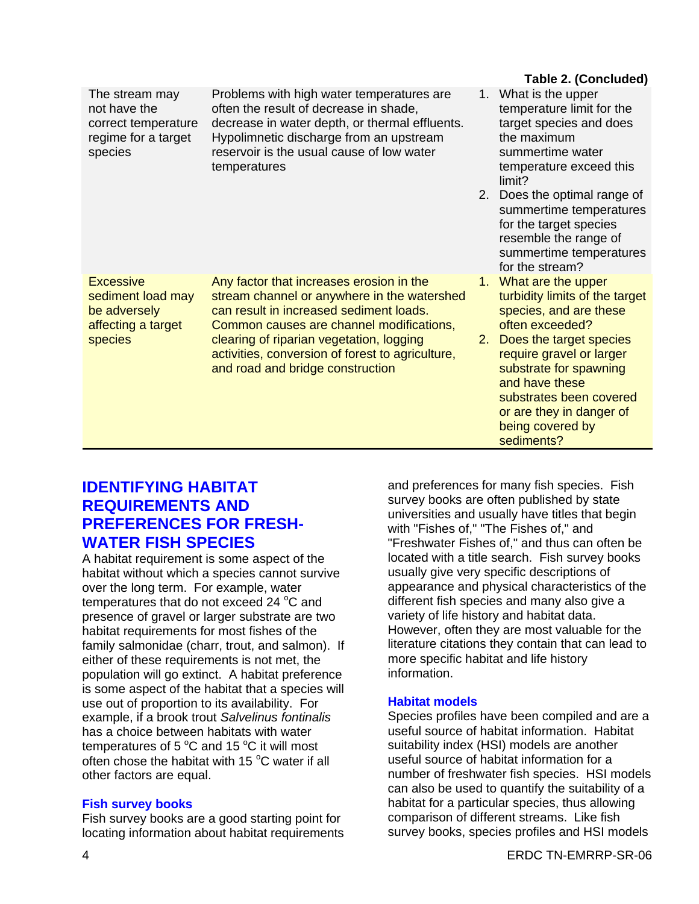|                                                                                         |                                                                                                                                                                                                                                               |    | Table 2. (Concluded)                                                                                                                                                              |
|-----------------------------------------------------------------------------------------|-----------------------------------------------------------------------------------------------------------------------------------------------------------------------------------------------------------------------------------------------|----|-----------------------------------------------------------------------------------------------------------------------------------------------------------------------------------|
| The stream may<br>not have the<br>correct temperature<br>regime for a target<br>species | Problems with high water temperatures are<br>often the result of decrease in shade,<br>decrease in water depth, or thermal effluents.<br>Hypolimnetic discharge from an upstream<br>reservoir is the usual cause of low water<br>temperatures | 1. | What is the upper<br>temperature limit for the<br>target species and does<br>the maximum<br>summertime water<br>temperature exceed this<br>limit?<br>2. Does the optimal range of |
|                                                                                         |                                                                                                                                                                                                                                               |    | summertime temperatures<br>for the target species<br>resemble the range of<br>summertime temperatures<br>for the stream?                                                          |
| <b>Excessive</b><br>sediment load may<br>be adversely<br>affecting a target             | Any factor that increases erosion in the<br>stream channel or anywhere in the watershed<br>can result in increased sediment loads.<br>Common causes are channel modifications,                                                                |    | 1. What are the upper<br>turbidity limits of the target<br>species, and are these<br>often exceeded?                                                                              |
| <b>species</b>                                                                          | clearing of riparian vegetation, logging<br>activities, conversion of forest to agriculture,<br>and road and bridge construction                                                                                                              | 2. | Does the target species<br>require gravel or larger<br>substrate for spawning<br>and have these<br>substrates been covered                                                        |
|                                                                                         |                                                                                                                                                                                                                                               |    | or are they in danger of                                                                                                                                                          |

### **IDENTIFYING HABITAT REQUIREMENTS AND PREFERENCES FOR FRESH-WATER FISH SPECIES**

A habitat requirement is some aspect of the habitat without which a species cannot survive over the long term. For example, water temperatures that do not exceed 24  $^{\circ}$ C and presence of gravel or larger substrate are two habitat requirements for most fishes of the family salmonidae (charr, trout, and salmon). If either of these requirements is not met, the population will go extinct. A habitat preference is some aspect of the habitat that a species will use out of proportion to its availability. For example, if a brook trout *Salvelinus fontinalis* has a choice between habitats with water temperatures of 5  $\mathrm{^{\circ}C}$  and 15  $\mathrm{^{\circ}C}$  it will most often chose the habitat with 15 $\degree$ C water if all other factors are equal.

#### **Fish survey books**

Fish survey books are a good starting point for locating information about habitat requirements and preferences for many fish species. Fish survey books are often published by state universities and usually have titles that begin with "Fishes of," "The Fishes of," and "Freshwater Fishes of," and thus can often be located with a title search. Fish survey books usually give very specific descriptions of appearance and physical characteristics of the different fish species and many also give a variety of life history and habitat data. However, often they are most valuable for the literature citations they contain that can lead to more specific habitat and life history information.

being covered by sediments?

#### **Habitat models**

Species profiles have been compiled and are a useful source of habitat information. Habitat suitability index (HSI) models are another useful source of habitat information for a number of freshwater fish species. HSI models can also be used to quantify the suitability of a habitat for a particular species, thus allowing comparison of different streams. Like fish survey books, species profiles and HSI models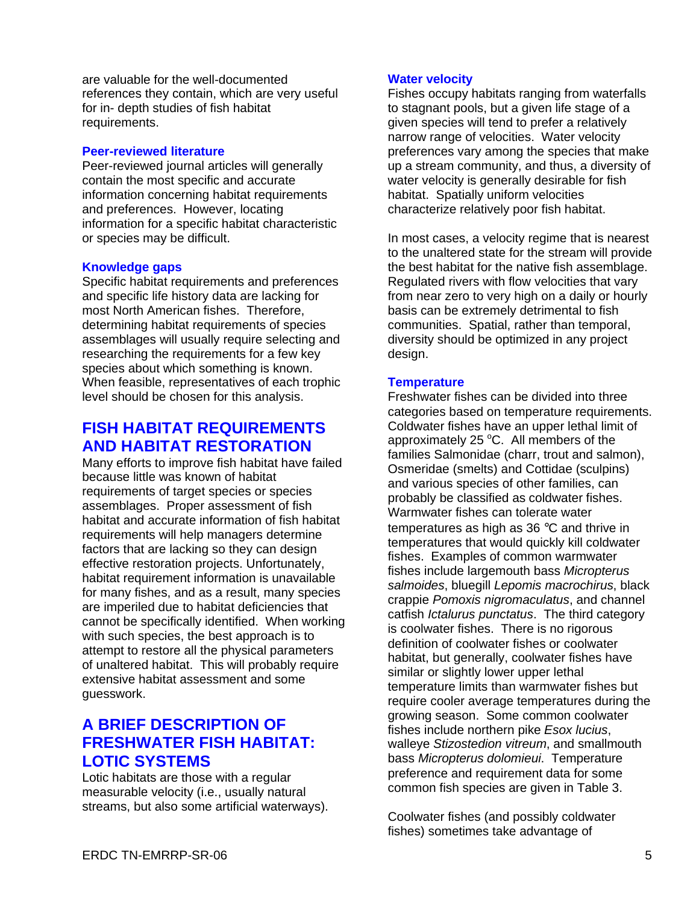are valuable for the well-documented references they contain, which are very useful for in- depth studies of fish habitat requirements.

#### **Peer-reviewed literature**

Peer-reviewed journal articles will generally contain the most specific and accurate information concerning habitat requirements and preferences. However, locating information for a specific habitat characteristic or species may be difficult.

#### **Knowledge gaps**

Specific habitat requirements and preferences and specific life history data are lacking for most North American fishes. Therefore, determining habitat requirements of species assemblages will usually require selecting and researching the requirements for a few key species about which something is known. When feasible, representatives of each trophic level should be chosen for this analysis.

# **FISH HABITAT REQUIREMENTS AND HABITAT RESTORATION**

Many efforts to improve fish habitat have failed because little was known of habitat requirements of target species or species assemblages. Proper assessment of fish habitat and accurate information of fish habitat requirements will help managers determine factors that are lacking so they can design effective restoration projects. Unfortunately, habitat requirement information is unavailable for many fishes, and as a result, many species are imperiled due to habitat deficiencies that cannot be specifically identified. When working with such species, the best approach is to attempt to restore all the physical parameters of unaltered habitat. This will probably require extensive habitat assessment and some guesswork.

# **A BRIEF DESCRIPTION OF FRESHWATER FISH HABITAT: LOTIC SYSTEMS**

Lotic habitats are those with a regular measurable velocity (i.e., usually natural streams, but also some artificial waterways).

#### **Water velocity**

Fishes occupy habitats ranging from waterfalls to stagnant pools, but a given life stage of a given species will tend to prefer a relatively narrow range of velocities. Water velocity preferences vary among the species that make up a stream community, and thus, a diversity of water velocity is generally desirable for fish habitat. Spatially uniform velocities characterize relatively poor fish habitat.

In most cases, a velocity regime that is nearest to the unaltered state for the stream will provide the best habitat for the native fish assemblage. Regulated rivers with flow velocities that vary from near zero to very high on a daily or hourly basis can be extremely detrimental to fish communities. Spatial, rather than temporal, diversity should be optimized in any project design.

#### **Temperature**

Freshwater fishes can be divided into three categories based on temperature requirements. Coldwater fishes have an upper lethal limit of approximately 25 $\degree$ C. All members of the families Salmonidae (charr, trout and salmon), Osmeridae (smelts) and Cottidae (sculpins) and various species of other families, can probably be classified as coldwater fishes. Warmwater fishes can tolerate water temperatures as high as 36 °C and thrive in temperatures that would quickly kill coldwater fishes. Examples of common warmwater fishes include largemouth bass *Micropterus salmoides*, bluegill *Lepomis macrochirus*, black crappie *Pomoxis nigromaculatus*, and channel catfish *Ictalurus punctatus*. The third category is coolwater fishes. There is no rigorous definition of coolwater fishes or coolwater habitat, but generally, coolwater fishes have similar or slightly lower upper lethal temperature limits than warmwater fishes but require cooler average temperatures during the growing season. Some common coolwater fishes include northern pike *Esox lucius*, walleye *Stizostedion vitreum*, and smallmouth bass *Micropterus dolomieui*. Temperature preference and requirement data for some common fish species are given in Table 3.

Coolwater fishes (and possibly coldwater fishes) sometimes take advantage of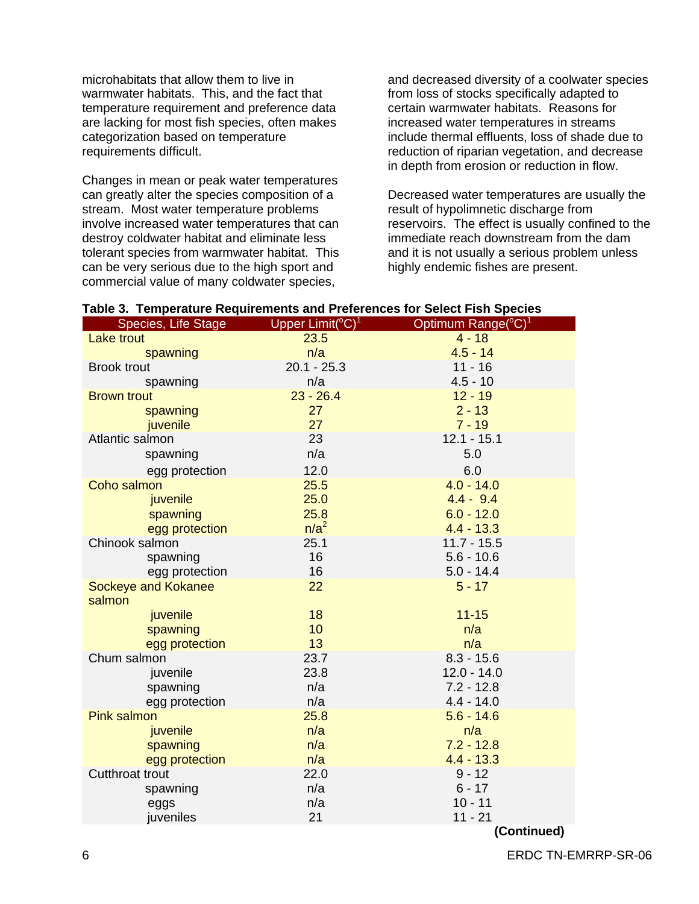microhabitats that allow them to live in warmwater habitats. This, and the fact that temperature requirement and preference data are lacking for most fish species, often makes categorization based on temperature requirements difficult.

Changes in mean or peak water temperatures can greatly alter the species composition of a stream. Most water temperature problems involve increased water temperatures that can destroy coldwater habitat and eliminate less tolerant species from warmwater habitat. This can be very serious due to the high sport and commercial value of many coldwater species,

and decreased diversity of a coolwater species from loss of stocks specifically adapted to certain warmwater habitats. Reasons for increased water temperatures in streams include thermal effluents, loss of shade due to reduction of riparian vegetation, and decrease in depth from erosion or reduction in flow.

Decreased water temperatures are usually the result of hypolimnetic discharge from reservoirs. The effect is usually confined to the immediate reach downstream from the dam and it is not usually a serious problem unless highly endemic fishes are present.

| rable 5. Temperature Requirements and Preferences for Select Fish Species |                                            |                                             |
|---------------------------------------------------------------------------|--------------------------------------------|---------------------------------------------|
| Species, Life Stage                                                       | Upper $Limit$ <sup>°C</sup> ) <sup>1</sup> | Optimum Range( ${}^{\circ}$ C) <sup>1</sup> |
| <b>Lake trout</b>                                                         | 23.5                                       | $4 - 18$                                    |
| spawning                                                                  | n/a                                        | $4.5 - 14$                                  |
| <b>Brook trout</b>                                                        | $20.1 - 25.3$                              | $11 - 16$                                   |
| spawning                                                                  | n/a                                        | $4.5 - 10$                                  |
| <b>Brown trout</b>                                                        | $23 - 26.4$                                | $12 - 19$                                   |
| spawning                                                                  | 27                                         | $2 - 13$                                    |
| juvenile                                                                  | 27                                         | $7 - 19$                                    |
| Atlantic salmon                                                           | 23                                         | $12.1 - 15.1$                               |
| spawning                                                                  | n/a                                        | 5.0                                         |
| egg protection                                                            | 12.0                                       | 6.0                                         |
| Coho salmon                                                               | 25.5                                       | $4.0 - 14.0$                                |
| juvenile                                                                  | 25.0                                       | $4.4 - 9.4$                                 |
| spawning                                                                  | 25.8                                       | $6.0 - 12.0$                                |
| egg protection                                                            | $n/a^2$                                    | $4.4 - 13.3$                                |
| Chinook salmon                                                            | 25.1                                       | $11.7 - 15.5$                               |
| spawning                                                                  | 16                                         | $5.6 - 10.6$                                |
| egg protection                                                            | 16                                         | $5.0 - 14.4$                                |
| <b>Sockeye and Kokanee</b>                                                | 22                                         | $5 - 17$                                    |
| salmon                                                                    |                                            |                                             |
| juvenile                                                                  | 18                                         | $11 - 15$                                   |
| spawning                                                                  | 10                                         | n/a                                         |
| egg protection                                                            | 13                                         | n/a                                         |
| Chum salmon                                                               | 23.7                                       | $8.3 - 15.6$                                |
| juvenile                                                                  | 23.8                                       | $12.0 - 14.0$                               |
| spawning                                                                  | n/a                                        | $7.2 - 12.8$                                |
| egg protection                                                            | n/a                                        | $4.4 - 14.0$                                |
| <b>Pink salmon</b>                                                        | 25.8                                       | $5.6 - 14.6$                                |
| juvenile                                                                  | n/a                                        | n/a                                         |
| spawning                                                                  | n/a                                        | $7.2 - 12.8$                                |
| egg protection                                                            | n/a                                        | $4.4 - 13.3$                                |
| <b>Cutthroat trout</b>                                                    | 22.0                                       | $9 - 12$                                    |
| spawning                                                                  | n/a                                        | $6 - 17$                                    |
| eggs                                                                      | n/a                                        | $10 - 11$                                   |
| juveniles                                                                 | 21                                         | $11 - 21$                                   |
|                                                                           |                                            |                                             |

### **Table 3. Temperature Requirements and Preferences for Select Fish Species**

 **(Continued)**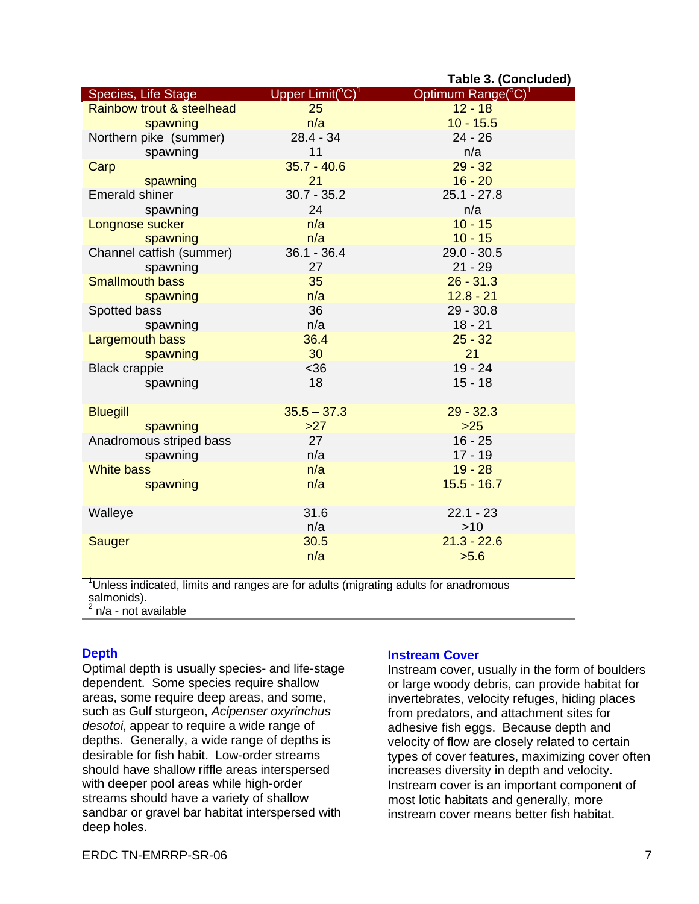|                           |                              | Table 3. (Concluded)              |
|---------------------------|------------------------------|-----------------------------------|
| Species, Life Stage       | Upper $Limit(^{\circ}C)^{1}$ | Optimum Range $({}^{\circ}C)^{1}$ |
| Rainbow trout & steelhead | 25                           | $12 - 18$                         |
| spawning                  | n/a                          | $10 - 15.5$                       |
| Northern pike (summer)    | $28.4 - 34$                  | $24 - 26$                         |
| spawning                  | 11                           | n/a                               |
| Carp                      | $35.7 - 40.6$                | $29 - 32$                         |
| spawning                  | 21                           | $16 - 20$                         |
| <b>Emerald shiner</b>     | $30.7 - 35.2$                | $25.1 - 27.8$                     |
| spawning                  | 24                           | n/a                               |
| Longnose sucker           | n/a                          | $10 - 15$                         |
| spawning                  | n/a                          | $10 - 15$                         |
| Channel catfish (summer)  | $36.1 - 36.4$                | $29.0 - 30.5$                     |
| spawning                  | 27                           | $21 - 29$                         |
| <b>Smallmouth bass</b>    | 35                           | $26 - 31.3$                       |
| spawning                  | n/a                          | $12.8 - 21$                       |
| Spotted bass              | 36                           | $29 - 30.8$                       |
| spawning                  | n/a                          | $18 - 21$                         |
| Largemouth bass           | 36.4                         | $25 - 32$                         |
| spawning                  | 30                           | 21                                |
| <b>Black crappie</b>      | <36                          | $19 - 24$                         |
| spawning                  | 18                           | $15 - 18$                         |
|                           |                              |                                   |
| <b>Bluegill</b>           | $35.5 - 37.3$                | $29 - 32.3$                       |
| spawning                  | >27                          | $>25$                             |
| Anadromous striped bass   | 27                           | $16 - 25$                         |
| spawning                  | n/a                          | $17 - 19$                         |
| <b>White bass</b>         | n/a                          | $19 - 28$                         |
| spawning                  | n/a                          | $15.5 - 16.7$                     |
| Walleye                   | 31.6                         | $22.1 - 23$                       |
|                           | n/a                          | $>10$                             |
| Sauger                    | 30.5                         | $21.3 - 22.6$                     |
|                           | n/a                          | >5.6                              |
|                           |                              |                                   |

<sup>1</sup>Unless indicated, limits and ranges are for adults (migrating adults for anadromous salmonids).

 $2$  n/a - not available

#### **Depth**

Optimal depth is usually species- and life-stage dependent. Some species require shallow areas, some require deep areas, and some, such as Gulf sturgeon, *Acipenser oxyrinchus desotoi*, appear to require a wide range of depths. Generally, a wide range of depths is desirable for fish habit. Low-order streams should have shallow riffle areas interspersed with deeper pool areas while high-order streams should have a variety of shallow sandbar or gravel bar habitat interspersed with deep holes.

#### **Instream Cover**

Instream cover, usually in the form of boulders or large woody debris, can provide habitat for invertebrates, velocity refuges, hiding places from predators, and attachment sites for adhesive fish eggs. Because depth and velocity of flow are closely related to certain types of cover features, maximizing cover often increases diversity in depth and velocity. Instream cover is an important component of most lotic habitats and generally, more instream cover means better fish habitat.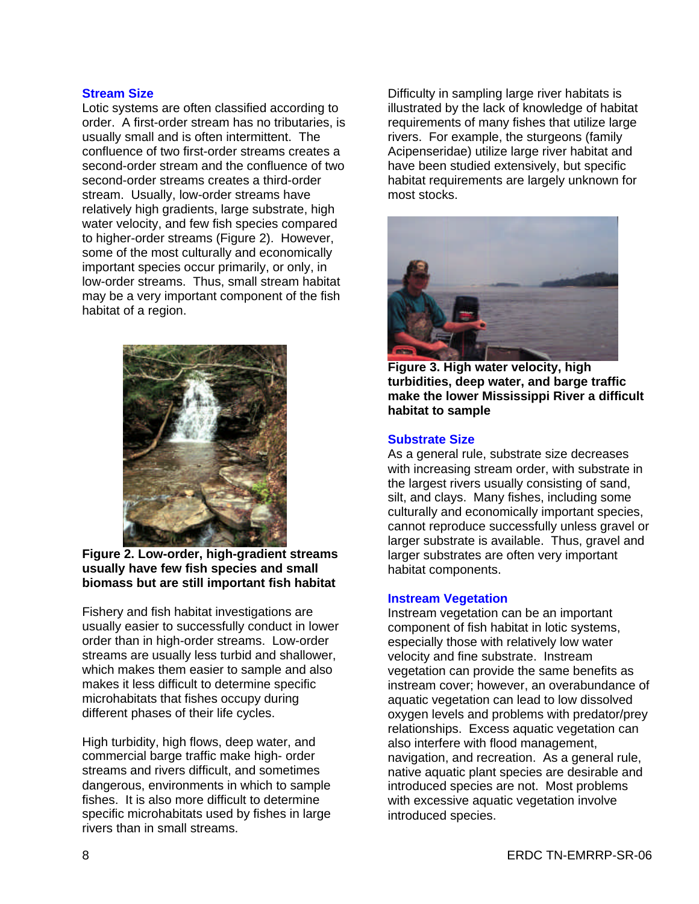#### **Stream Size**

Lotic systems are often classified according to order. A first-order stream has no tributaries, is usually small and is often intermittent. The confluence of two first-order streams creates a second-order stream and the confluence of two second-order streams creates a third-order stream. Usually, low-order streams have relatively high gradients, large substrate, high water velocity, and few fish species compared to higher-order streams (Figure 2). However, some of the most culturally and economically important species occur primarily, or only, in low-order streams. Thus, small stream habitat may be a very important component of the fish habitat of a region.



**Figure 2. Low-order, high-gradient streams usually have few fish species and small biomass but are still important fish habitat**

Fishery and fish habitat investigations are usually easier to successfully conduct in lower order than in high-order streams. Low-order streams are usually less turbid and shallower, which makes them easier to sample and also makes it less difficult to determine specific microhabitats that fishes occupy during different phases of their life cycles.

High turbidity, high flows, deep water, and commercial barge traffic make high- order streams and rivers difficult, and sometimes dangerous, environments in which to sample fishes. It is also more difficult to determine specific microhabitats used by fishes in large rivers than in small streams.

Difficulty in sampling large river habitats is illustrated by the lack of knowledge of habitat requirements of many fishes that utilize large rivers. For example, the sturgeons (family Acipenseridae) utilize large river habitat and have been studied extensively, but specific habitat requirements are largely unknown for most stocks.



**Figure 3. High water velocity, high turbidities, deep water, and barge traffic make the lower Mississippi River a difficult habitat to sample**

#### **Substrate Size**

As a general rule, substrate size decreases with increasing stream order, with substrate in the largest rivers usually consisting of sand, silt, and clays. Many fishes, including some culturally and economically important species, cannot reproduce successfully unless gravel or larger substrate is available. Thus, gravel and larger substrates are often very important habitat components.

#### **Instream Vegetation**

Instream vegetation can be an important component of fish habitat in lotic systems, especially those with relatively low water velocity and fine substrate. Instream vegetation can provide the same benefits as instream cover; however, an overabundance of aquatic vegetation can lead to low dissolved oxygen levels and problems with predator/prey relationships. Excess aquatic vegetation can also interfere with flood management, navigation, and recreation. As a general rule, native aquatic plant species are desirable and introduced species are not. Most problems with excessive aquatic vegetation involve introduced species.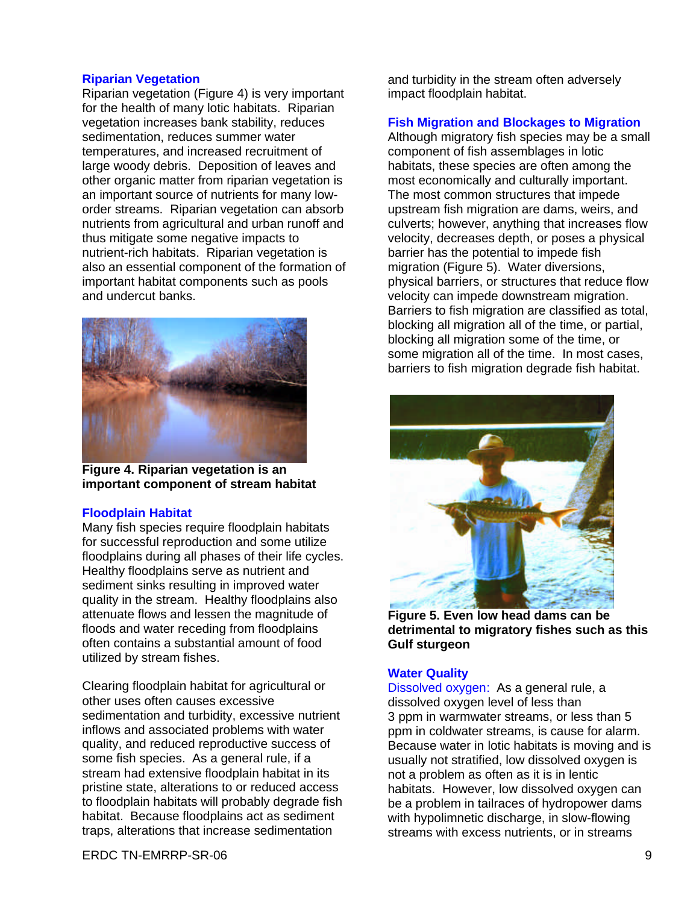#### **Riparian Vegetation**

Riparian vegetation (Figure 4) is very important for the health of many lotic habitats. Riparian vegetation increases bank stability, reduces sedimentation, reduces summer water temperatures, and increased recruitment of large woody debris. Deposition of leaves and other organic matter from riparian vegetation is an important source of nutrients for many loworder streams. Riparian vegetation can absorb nutrients from agricultural and urban runoff and thus mitigate some negative impacts to nutrient-rich habitats. Riparian vegetation is also an essential component of the formation of important habitat components such as pools and undercut banks.



**Figure 4. Riparian vegetation is an important component of stream habitat**

#### **Floodplain Habitat**

Many fish species require floodplain habitats for successful reproduction and some utilize floodplains during all phases of their life cycles. Healthy floodplains serve as nutrient and sediment sinks resulting in improved water quality in the stream. Healthy floodplains also attenuate flows and lessen the magnitude of floods and water receding from floodplains often contains a substantial amount of food utilized by stream fishes.

Clearing floodplain habitat for agricultural or other uses often causes excessive sedimentation and turbidity, excessive nutrient inflows and associated problems with water quality, and reduced reproductive success of some fish species. As a general rule, if a stream had extensive floodplain habitat in its pristine state, alterations to or reduced access to floodplain habitats will probably degrade fish habitat. Because floodplains act as sediment traps, alterations that increase sedimentation

and turbidity in the stream often adversely impact floodplain habitat.

#### **Fish Migration and Blockages to Migration**

Although migratory fish species may be a small component of fish assemblages in lotic habitats, these species are often among the most economically and culturally important. The most common structures that impede upstream fish migration are dams, weirs, and culverts; however, anything that increases flow velocity, decreases depth, or poses a physical barrier has the potential to impede fish migration (Figure 5). Water diversions, physical barriers, or structures that reduce flow velocity can impede downstream migration. Barriers to fish migration are classified as total, blocking all migration all of the time, or partial, blocking all migration some of the time, or some migration all of the time. In most cases, barriers to fish migration degrade fish habitat.



**Figure 5. Even low head dams can be detrimental to migratory fishes such as this Gulf sturgeon**

#### **Water Quality**

Dissolved oxygen: As a general rule, a dissolved oxygen level of less than 3 ppm in warmwater streams, or less than 5 ppm in coldwater streams, is cause for alarm. Because water in lotic habitats is moving and is usually not stratified, low dissolved oxygen is not a problem as often as it is in lentic habitats. However, low dissolved oxygen can be a problem in tailraces of hydropower dams with hypolimnetic discharge, in slow-flowing streams with excess nutrients, or in streams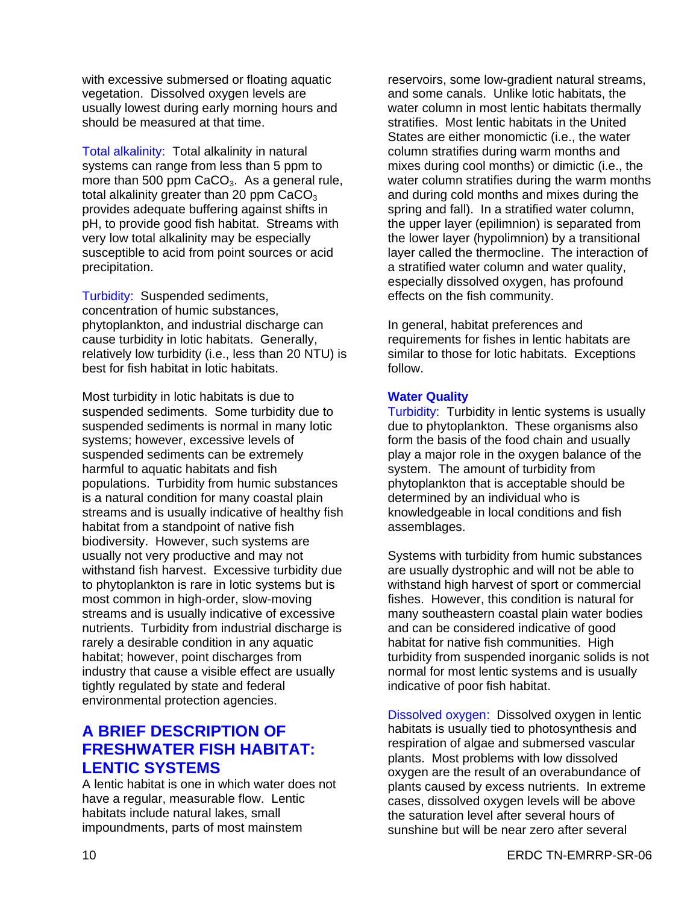with excessive submersed or floating aquatic vegetation. Dissolved oxygen levels are usually lowest during early morning hours and should be measured at that time.

Total alkalinity: Total alkalinity in natural systems can range from less than 5 ppm to more than 500 ppm  $CaCO<sub>3</sub>$ . As a general rule, total alkalinity greater than 20 ppm  $CaCO<sub>3</sub>$ provides adequate buffering against shifts in pH, to provide good fish habitat. Streams with very low total alkalinity may be especially susceptible to acid from point sources or acid precipitation.

Turbidity: Suspended sediments, concentration of humic substances, phytoplankton, and industrial discharge can cause turbidity in lotic habitats. Generally, relatively low turbidity (i.e., less than 20 NTU) is best for fish habitat in lotic habitats.

Most turbidity in lotic habitats is due to suspended sediments. Some turbidity due to suspended sediments is normal in many lotic systems; however, excessive levels of suspended sediments can be extremely harmful to aquatic habitats and fish populations. Turbidity from humic substances is a natural condition for many coastal plain streams and is usually indicative of healthy fish habitat from a standpoint of native fish biodiversity. However, such systems are usually not very productive and may not withstand fish harvest. Excessive turbidity due to phytoplankton is rare in lotic systems but is most common in high-order, slow-moving streams and is usually indicative of excessive nutrients. Turbidity from industrial discharge is rarely a desirable condition in any aquatic habitat; however, point discharges from industry that cause a visible effect are usually tightly regulated by state and federal environmental protection agencies.

# **A BRIEF DESCRIPTION OF FRESHWATER FISH HABITAT: LENTIC SYSTEMS**

A lentic habitat is one in which water does not have a regular, measurable flow. Lentic habitats include natural lakes, small impoundments, parts of most mainstem

reservoirs, some low-gradient natural streams, and some canals. Unlike lotic habitats, the water column in most lentic habitats thermally stratifies. Most lentic habitats in the United States are either monomictic (i.e., the water column stratifies during warm months and mixes during cool months) or dimictic (i.e., the water column stratifies during the warm months and during cold months and mixes during the spring and fall). In a stratified water column, the upper layer (epilimnion) is separated from the lower layer (hypolimnion) by a transitional layer called the thermocline. The interaction of a stratified water column and water quality, especially dissolved oxygen, has profound effects on the fish community.

In general, habitat preferences and requirements for fishes in lentic habitats are similar to those for lotic habitats. Exceptions follow.

#### **Water Quality**

Turbidity: Turbidity in lentic systems is usually due to phytoplankton. These organisms also form the basis of the food chain and usually play a major role in the oxygen balance of the system. The amount of turbidity from phytoplankton that is acceptable should be determined by an individual who is knowledgeable in local conditions and fish assemblages.

Systems with turbidity from humic substances are usually dystrophic and will not be able to withstand high harvest of sport or commercial fishes. However, this condition is natural for many southeastern coastal plain water bodies and can be considered indicative of good habitat for native fish communities. High turbidity from suspended inorganic solids is not normal for most lentic systems and is usually indicative of poor fish habitat.

Dissolved oxygen: Dissolved oxygen in lentic habitats is usually tied to photosynthesis and respiration of algae and submersed vascular plants. Most problems with low dissolved oxygen are the result of an overabundance of plants caused by excess nutrients. In extreme cases, dissolved oxygen levels will be above the saturation level after several hours of sunshine but will be near zero after several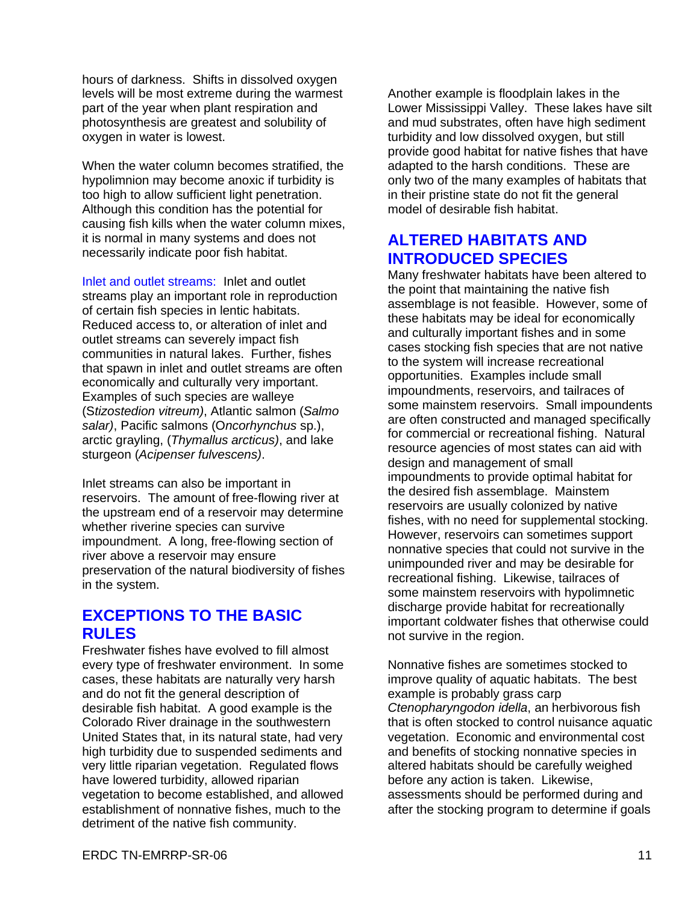hours of darkness. Shifts in dissolved oxygen levels will be most extreme during the warmest part of the year when plant respiration and photosynthesis are greatest and solubility of oxygen in water is lowest.

When the water column becomes stratified, the hypolimnion may become anoxic if turbidity is too high to allow sufficient light penetration. Although this condition has the potential for causing fish kills when the water column mixes, it is normal in many systems and does not necessarily indicate poor fish habitat.

Inlet and outlet streams: Inlet and outlet streams play an important role in reproduction of certain fish species in lentic habitats. Reduced access to, or alteration of inlet and outlet streams can severely impact fish communities in natural lakes. Further, fishes that spawn in inlet and outlet streams are often economically and culturally very important. Examples of such species are walleye (S*tizostedion vitreum)*, Atlantic salmon (*Salmo salar)*, Pacific salmons (O*ncorhynchus* sp.), arctic grayling, (*Thymallus arcticus)*, and lake sturgeon (*Acipenser fulvescens)*.

Inlet streams can also be important in reservoirs. The amount of free-flowing river at the upstream end of a reservoir may determine whether riverine species can survive impoundment. A long, free-flowing section of river above a reservoir may ensure preservation of the natural biodiversity of fishes in the system.

### **EXCEPTIONS TO THE BASIC RULES**

Freshwater fishes have evolved to fill almost every type of freshwater environment. In some cases, these habitats are naturally very harsh and do not fit the general description of desirable fish habitat. A good example is the Colorado River drainage in the southwestern United States that, in its natural state, had very high turbidity due to suspended sediments and very little riparian vegetation. Regulated flows have lowered turbidity, allowed riparian vegetation to become established, and allowed establishment of nonnative fishes, much to the detriment of the native fish community.

Another example is floodplain lakes in the Lower Mississippi Valley. These lakes have silt and mud substrates, often have high sediment turbidity and low dissolved oxygen, but still provide good habitat for native fishes that have adapted to the harsh conditions. These are only two of the many examples of habitats that in their pristine state do not fit the general model of desirable fish habitat.

## **ALTERED HABITATS AND INTRODUCED SPECIES**

Many freshwater habitats have been altered to the point that maintaining the native fish assemblage is not feasible. However, some of these habitats may be ideal for economically and culturally important fishes and in some cases stocking fish species that are not native to the system will increase recreational opportunities. Examples include small impoundments, reservoirs, and tailraces of some mainstem reservoirs. Small impoundents are often constructed and managed specifically for commercial or recreational fishing. Natural resource agencies of most states can aid with design and management of small impoundments to provide optimal habitat for the desired fish assemblage. Mainstem reservoirs are usually colonized by native fishes, with no need for supplemental stocking. However, reservoirs can sometimes support nonnative species that could not survive in the unimpounded river and may be desirable for recreational fishing. Likewise, tailraces of some mainstem reservoirs with hypolimnetic discharge provide habitat for recreationally important coldwater fishes that otherwise could not survive in the region.

Nonnative fishes are sometimes stocked to improve quality of aquatic habitats. The best example is probably grass carp *Ctenopharyngodon idella*, an herbivorous fish that is often stocked to control nuisance aquatic vegetation. Economic and environmental cost and benefits of stocking nonnative species in altered habitats should be carefully weighed before any action is taken. Likewise, assessments should be performed during and after the stocking program to determine if goals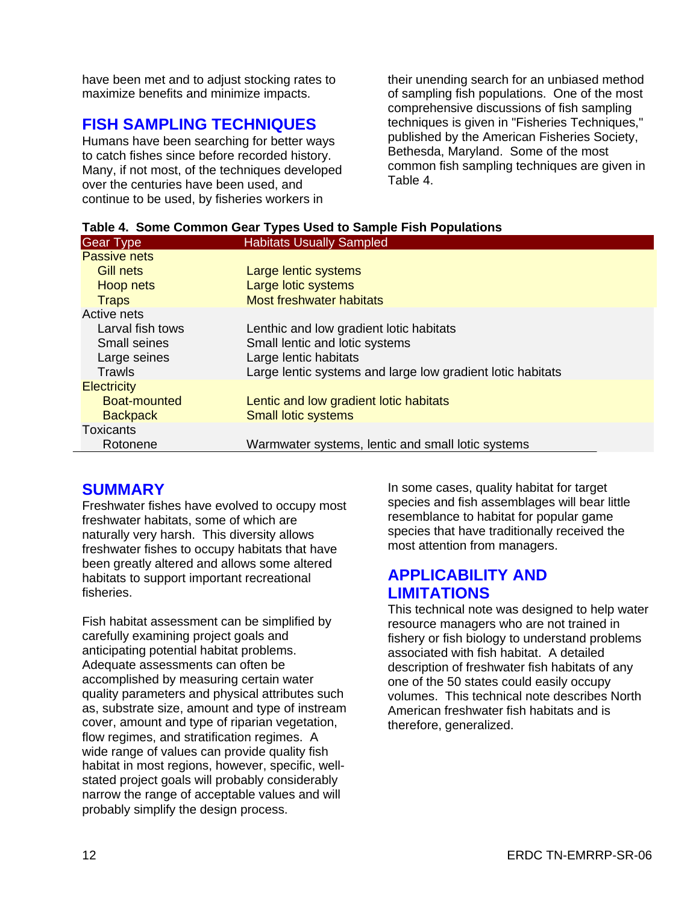have been met and to adjust stocking rates to maximize benefits and minimize impacts.

# **FISH SAMPLING TECHNIQUES**

Humans have been searching for better ways to catch fishes since before recorded history. Many, if not most, of the techniques developed over the centuries have been used, and continue to be used, by fisheries workers in

their unending search for an unbiased method of sampling fish populations. One of the most comprehensive discussions of fish sampling techniques is given in "Fisheries Techniques," published by the American Fisheries Society, Bethesda, Maryland. Some of the most common fish sampling techniques are given in Table 4.

| <b>Gear Type</b>   | <b>Habitats Usually Sampled</b>                            |
|--------------------|------------------------------------------------------------|
| Passive nets       |                                                            |
| <b>Gill nets</b>   | Large lentic systems                                       |
| Hoop nets          | Large lotic systems                                        |
| <b>Traps</b>       | <b>Most freshwater habitats</b>                            |
| Active nets        |                                                            |
| Larval fish tows   | Lenthic and low gradient lotic habitats                    |
| Small seines       | Small lentic and lotic systems                             |
| Large seines       | Large lentic habitats                                      |
| Trawls             | Large lentic systems and large low gradient lotic habitats |
| <b>Electricity</b> |                                                            |
| Boat-mounted       | Lentic and low gradient lotic habitats                     |
| <b>Backpack</b>    | <b>Small lotic systems</b>                                 |
| <b>Toxicants</b>   |                                                            |
| Rotonene           | Warmwater systems, lentic and small lotic systems          |

# **Table 4. Some Common Gear Types Used to Sample Fish Populations**

### **SUMMARY**

Freshwater fishes have evolved to occupy most freshwater habitats, some of which are naturally very harsh. This diversity allows freshwater fishes to occupy habitats that have been greatly altered and allows some altered habitats to support important recreational fisheries.

Fish habitat assessment can be simplified by carefully examining project goals and anticipating potential habitat problems. Adequate assessments can often be accomplished by measuring certain water quality parameters and physical attributes such as, substrate size, amount and type of instream cover, amount and type of riparian vegetation, flow regimes, and stratification regimes. A wide range of values can provide quality fish habitat in most regions, however, specific, wellstated project goals will probably considerably narrow the range of acceptable values and will probably simplify the design process.

In some cases, quality habitat for target species and fish assemblages will bear little resemblance to habitat for popular game species that have traditionally received the most attention from managers.

# **APPLICABILITY AND LIMITATIONS**

This technical note was designed to help water resource managers who are not trained in fishery or fish biology to understand problems associated with fish habitat. A detailed description of freshwater fish habitats of any one of the 50 states could easily occupy volumes. This technical note describes North American freshwater fish habitats and is therefore, generalized.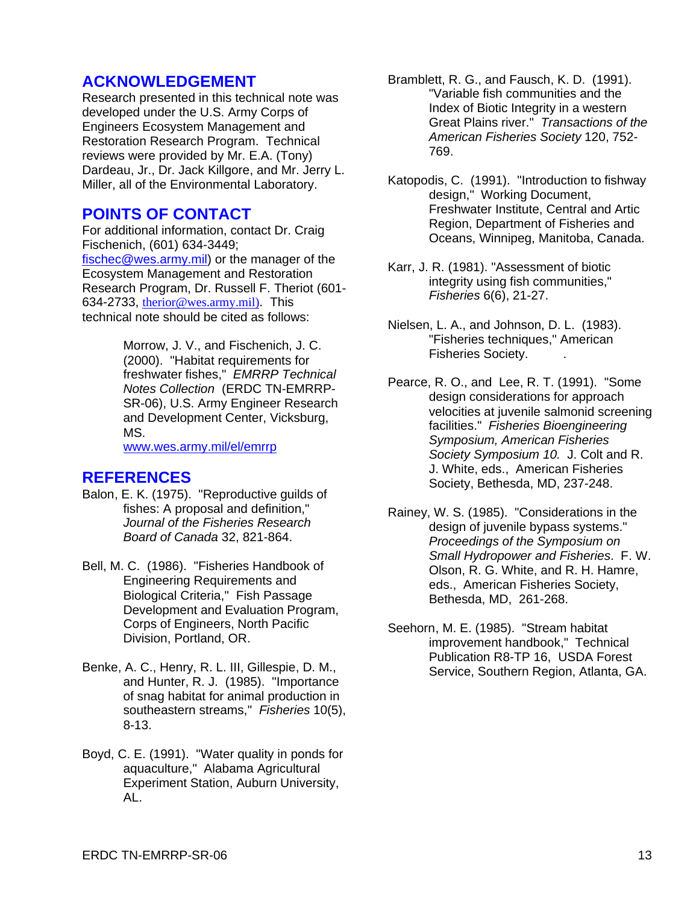### **ACKNOWLEDGEMENT**

Research presented in this technical note was developed under the U.S. Army Corps of Engineers Ecosystem Management and Restoration Research Program. Technical reviews were provided by Mr. E.A. (Tony) Dardeau, Jr., Dr. Jack Killgore, and Mr. Jerry L. Miller, all of the Environmental Laboratory.

### **POINTS OF CONTACT**

For additional information, contact Dr. Craig Fischenich, (601) 634-3449; fischec@wes.army.mil) or the manager of the Ecosystem Management and Restoration Research Program, Dr. Russell F. Theriot (601- 634-2733, therior@wes.army.mil). This technical note should be cited as follows:

> Morrow, J. V., and Fischenich, J. C. (2000). "Habitat requirements for freshwater fishes," *EMRRP Technical Notes Collection* (ERDC TN-EMRRP-SR-06), U.S. Army Engineer Research and Development Center, Vicksburg, MS.

www.wes.army.mil/el/emrrp

### **REFERENCES**

- Balon, E. K. (1975). "Reproductive guilds of fishes: A proposal and definition," *Journal of the Fisheries Research Board of Canada* 32, 821-864.
- Bell, M. C. (1986). "Fisheries Handbook of Engineering Requirements and Biological Criteria," Fish Passage Development and Evaluation Program, Corps of Engineers, North Pacific Division, Portland, OR.
- Benke, A. C., Henry, R. L. III, Gillespie, D. M., and Hunter, R. J. (1985). "Importance of snag habitat for animal production in southeastern streams," *Fisheries* 10(5), 8-13.
- Boyd, C. E. (1991). "Water quality in ponds for aquaculture," Alabama Agricultural Experiment Station, Auburn University, AL.
- Bramblett, R. G., and Fausch, K. D. (1991). "Variable fish communities and the Index of Biotic Integrity in a western Great Plains river." *Transactions of the American Fisheries Society* 120, 752- 769.
- Katopodis, C. (1991). "Introduction to fishway design," Working Document, Freshwater Institute, Central and Artic Region, Department of Fisheries and Oceans, Winnipeg, Manitoba, Canada.
- Karr, J. R. (1981). "Assessment of biotic integrity using fish communities," *Fisheries* 6(6), 21-27.
- Nielsen, L. A., and Johnson, D. L. (1983). "Fisheries techniques," American Fisheries Society. .
- Pearce, R. O., and Lee, R. T. (1991). "Some design considerations for approach velocities at juvenile salmonid screening facilities." *Fisheries Bioengineering Symposium, American Fisheries Society Symposium 10.* J. Colt and R. J. White, eds., American Fisheries Society, Bethesda, MD, 237-248.
- Rainey, W. S. (1985). "Considerations in the design of juvenile bypass systems." *Proceedings of the Symposium on Small Hydropower and Fisheries*. F. W. Olson, R. G. White, and R. H. Hamre, eds., American Fisheries Society, Bethesda, MD, 261-268.
- Seehorn, M. E. (1985). "Stream habitat improvement handbook," Technical Publication R8-TP 16, USDA Forest Service, Southern Region, Atlanta, GA.